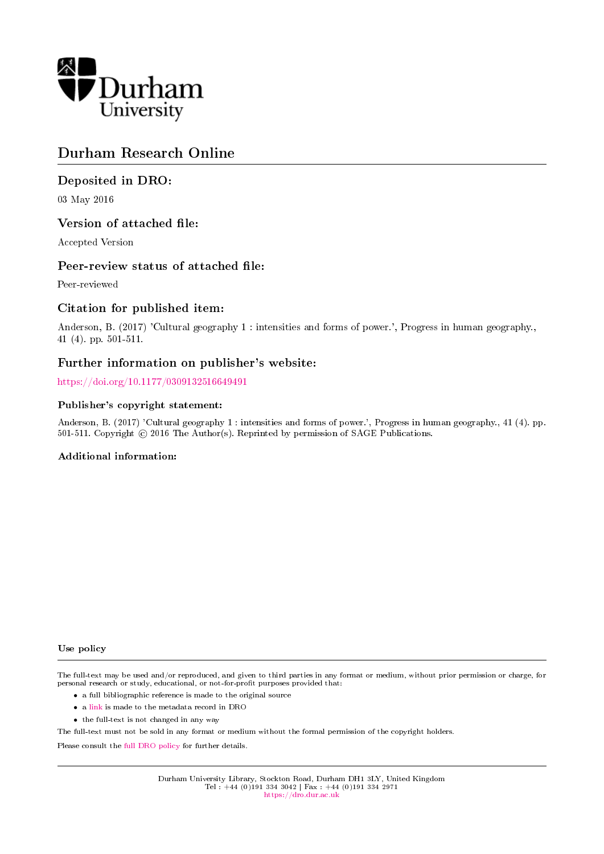

# Durham Research Online

# Deposited in DRO:

03 May 2016

## Version of attached file:

Accepted Version

#### Peer-review status of attached file:

Peer-reviewed

## Citation for published item:

Anderson, B. (2017) 'Cultural geography 1 : intensities and forms of power.', Progress in human geography., 41 (4). pp. 501-511.

## Further information on publisher's website:

<https://doi.org/10.1177/0309132516649491>

#### Publisher's copyright statement:

Anderson, B. (2017) 'Cultural geography 1 : intensities and forms of power.', Progress in human geography., 41 (4). pp. 501-511. Copyright  $\odot$  2016 The Author(s). Reprinted by permission of SAGE Publications.

#### Additional information:

Use policy

The full-text may be used and/or reproduced, and given to third parties in any format or medium, without prior permission or charge, for personal research or study, educational, or not-for-profit purposes provided that:

- a full bibliographic reference is made to the original source
- a [link](http://dro.dur.ac.uk/18600/) is made to the metadata record in DRO
- the full-text is not changed in any way

The full-text must not be sold in any format or medium without the formal permission of the copyright holders.

Please consult the [full DRO policy](https://dro.dur.ac.uk/policies/usepolicy.pdf) for further details.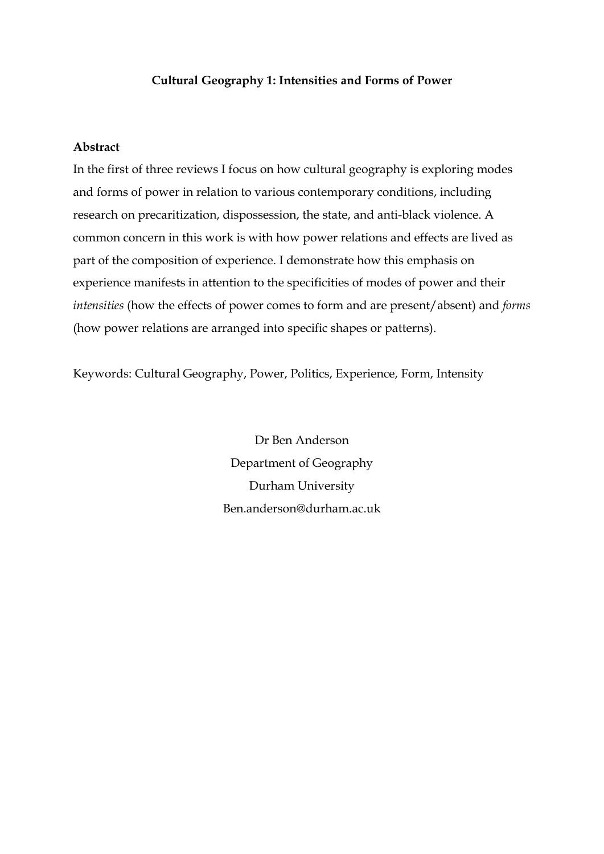# **Cultural Geography 1: Intensities and Forms of Power**

#### **Abstract**

In the first of three reviews I focus on how cultural geography is exploring modes and forms of power in relation to various contemporary conditions, including research on precaritization, dispossession, the state, and anti-black violence. A common concern in this work is with how power relations and effects are lived as part of the composition of experience. I demonstrate how this emphasis on experience manifests in attention to the specificities of modes of power and their *intensities* (how the effects of power comes to form and are present/absent) and *forms* (how power relations are arranged into specific shapes or patterns).

Keywords: Cultural Geography, Power, Politics, Experience, Form, Intensity

Dr Ben Anderson Department of Geography Durham University Ben.anderson@durham.ac.uk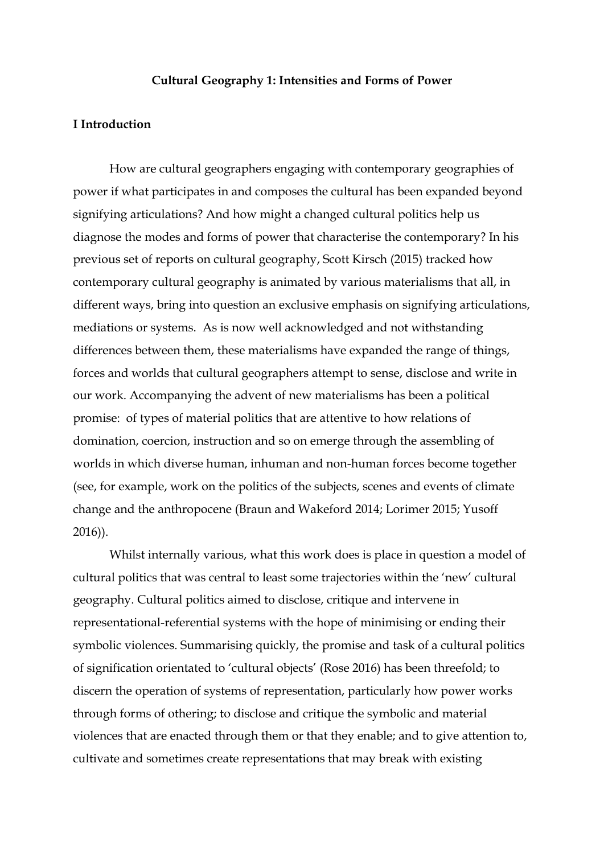#### **Cultural Geography 1: Intensities and Forms of Power**

# **I Introduction**

How are cultural geographers engaging with contemporary geographies of power if what participates in and composes the cultural has been expanded beyond signifying articulations? And how might a changed cultural politics help us diagnose the modes and forms of power that characterise the contemporary? In his previous set of reports on cultural geography, Scott Kirsch (2015) tracked how contemporary cultural geography is animated by various materialisms that all, in different ways, bring into question an exclusive emphasis on signifying articulations, mediations or systems. As is now well acknowledged and not withstanding differences between them, these materialisms have expanded the range of things, forces and worlds that cultural geographers attempt to sense, disclose and write in our work. Accompanying the advent of new materialisms has been a political promise: of types of material politics that are attentive to how relations of domination, coercion, instruction and so on emerge through the assembling of worlds in which diverse human, inhuman and non-human forces become together (see, for example, work on the politics of the subjects, scenes and events of climate change and the anthropocene (Braun and Wakeford 2014; Lorimer 2015; Yusoff 2016)).

Whilst internally various, what this work does is place in question a model of cultural politics that was central to least some trajectories within the 'new' cultural geography. Cultural politics aimed to disclose, critique and intervene in representational-referential systems with the hope of minimising or ending their symbolic violences. Summarising quickly, the promise and task of a cultural politics of signification orientated to 'cultural objects' (Rose 2016) has been threefold; to discern the operation of systems of representation, particularly how power works through forms of othering; to disclose and critique the symbolic and material violences that are enacted through them or that they enable; and to give attention to, cultivate and sometimes create representations that may break with existing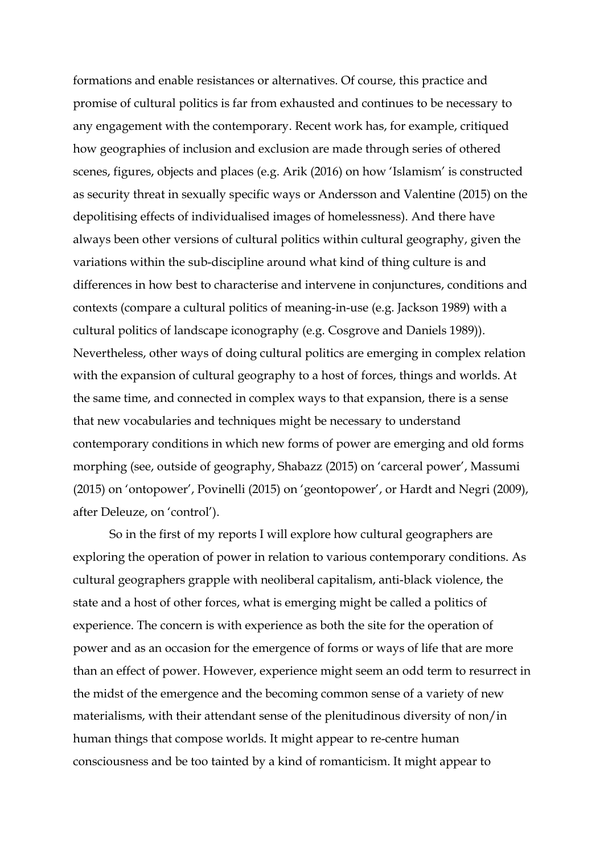formations and enable resistances or alternatives. Of course, this practice and promise of cultural politics is far from exhausted and continues to be necessary to any engagement with the contemporary. Recent work has, for example, critiqued how geographies of inclusion and exclusion are made through series of othered scenes, figures, objects and places (e.g. Arik (2016) on how 'Islamism' is constructed as security threat in sexually specific ways or Andersson and Valentine (2015) on the depolitising effects of individualised images of homelessness). And there have always been other versions of cultural politics within cultural geography, given the variations within the sub-discipline around what kind of thing culture is and differences in how best to characterise and intervene in conjunctures, conditions and contexts (compare a cultural politics of meaning-in-use (e.g. Jackson 1989) with a cultural politics of landscape iconography (e.g. Cosgrove and Daniels 1989)). Nevertheless, other ways of doing cultural politics are emerging in complex relation with the expansion of cultural geography to a host of forces, things and worlds. At the same time, and connected in complex ways to that expansion, there is a sense that new vocabularies and techniques might be necessary to understand contemporary conditions in which new forms of power are emerging and old forms morphing (see, outside of geography, Shabazz (2015) on 'carceral power', Massumi (2015) on 'ontopower', Povinelli (2015) on 'geontopower', or Hardt and Negri (2009), after Deleuze, on 'control').

So in the first of my reports I will explore how cultural geographers are exploring the operation of power in relation to various contemporary conditions. As cultural geographers grapple with neoliberal capitalism, anti-black violence, the state and a host of other forces, what is emerging might be called a politics of experience. The concern is with experience as both the site for the operation of power and as an occasion for the emergence of forms or ways of life that are more than an effect of power. However, experience might seem an odd term to resurrect in the midst of the emergence and the becoming common sense of a variety of new materialisms, with their attendant sense of the plenitudinous diversity of non/in human things that compose worlds. It might appear to re-centre human consciousness and be too tainted by a kind of romanticism. It might appear to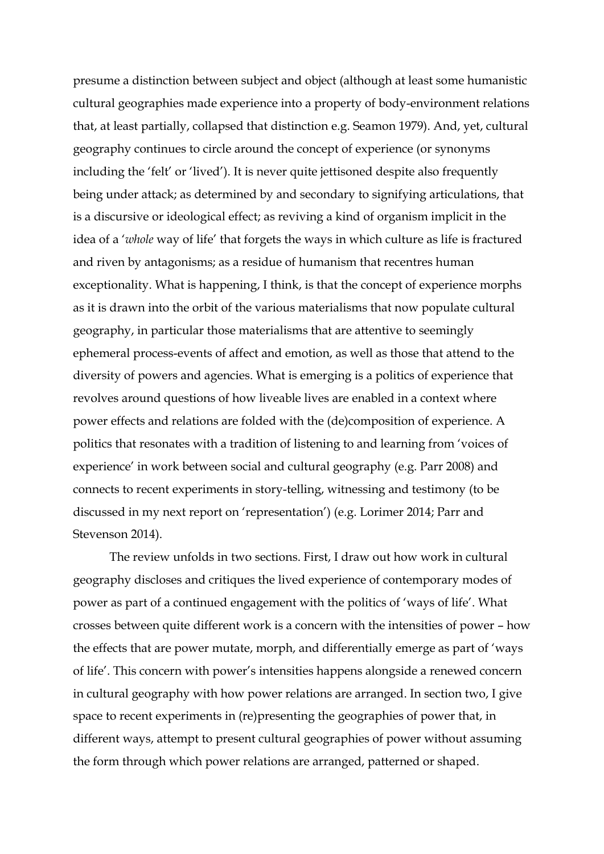presume a distinction between subject and object (although at least some humanistic cultural geographies made experience into a property of body-environment relations that, at least partially, collapsed that distinction e.g. Seamon 1979). And, yet, cultural geography continues to circle around the concept of experience (or synonyms including the 'felt' or 'lived'). It is never quite jettisoned despite also frequently being under attack; as determined by and secondary to signifying articulations, that is a discursive or ideological effect; as reviving a kind of organism implicit in the idea of a '*whole* way of life' that forgets the ways in which culture as life is fractured and riven by antagonisms; as a residue of humanism that recentres human exceptionality. What is happening, I think, is that the concept of experience morphs as it is drawn into the orbit of the various materialisms that now populate cultural geography, in particular those materialisms that are attentive to seemingly ephemeral process-events of affect and emotion, as well as those that attend to the diversity of powers and agencies. What is emerging is a politics of experience that revolves around questions of how liveable lives are enabled in a context where power effects and relations are folded with the (de)composition of experience. A politics that resonates with a tradition of listening to and learning from 'voices of experience' in work between social and cultural geography (e.g. Parr 2008) and connects to recent experiments in story-telling, witnessing and testimony (to be discussed in my next report on 'representation') (e.g. Lorimer 2014; Parr and Stevenson 2014).

The review unfolds in two sections. First, I draw out how work in cultural geography discloses and critiques the lived experience of contemporary modes of power as part of a continued engagement with the politics of 'ways of life'. What crosses between quite different work is a concern with the intensities of power – how the effects that are power mutate, morph, and differentially emerge as part of 'ways of life'. This concern with power's intensities happens alongside a renewed concern in cultural geography with how power relations are arranged. In section two, I give space to recent experiments in (re)presenting the geographies of power that, in different ways, attempt to present cultural geographies of power without assuming the form through which power relations are arranged, patterned or shaped.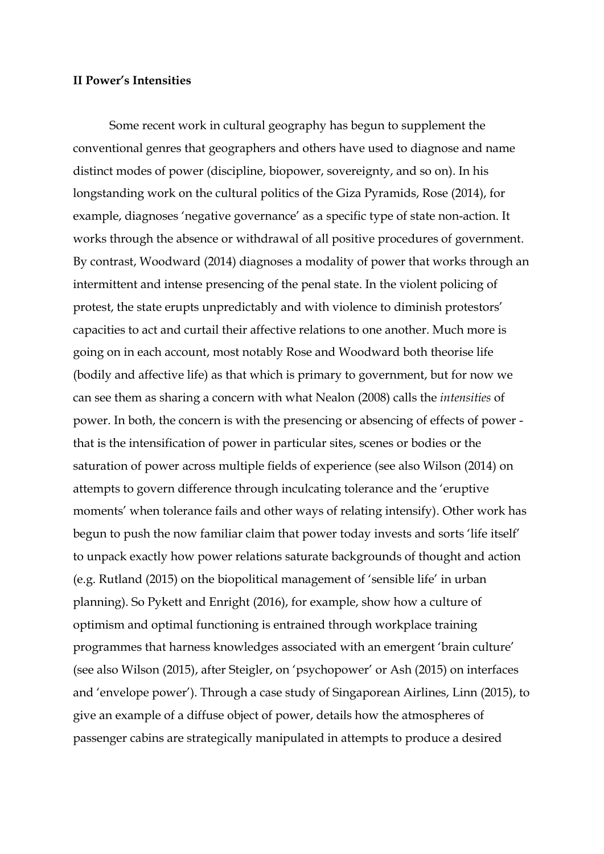#### **II Power's Intensities**

Some recent work in cultural geography has begun to supplement the conventional genres that geographers and others have used to diagnose and name distinct modes of power (discipline, biopower, sovereignty, and so on). In his longstanding work on the cultural politics of the Giza Pyramids, Rose (2014), for example, diagnoses 'negative governance' as a specific type of state non-action. It works through the absence or withdrawal of all positive procedures of government. By contrast, Woodward (2014) diagnoses a modality of power that works through an intermittent and intense presencing of the penal state. In the violent policing of protest, the state erupts unpredictably and with violence to diminish protestors' capacities to act and curtail their affective relations to one another. Much more is going on in each account, most notably Rose and Woodward both theorise life (bodily and affective life) as that which is primary to government, but for now we can see them as sharing a concern with what Nealon (2008) calls the *intensities* of power. In both, the concern is with the presencing or absencing of effects of power that is the intensification of power in particular sites, scenes or bodies or the saturation of power across multiple fields of experience (see also Wilson (2014) on attempts to govern difference through inculcating tolerance and the 'eruptive moments' when tolerance fails and other ways of relating intensify). Other work has begun to push the now familiar claim that power today invests and sorts 'life itself' to unpack exactly how power relations saturate backgrounds of thought and action (e.g. Rutland (2015) on the biopolitical management of 'sensible life' in urban planning). So Pykett and Enright (2016), for example, show how a culture of optimism and optimal functioning is entrained through workplace training programmes that harness knowledges associated with an emergent 'brain culture' (see also Wilson (2015), after Steigler, on 'psychopower' or Ash (2015) on interfaces and 'envelope power'). Through a case study of Singaporean Airlines, Linn (2015), to give an example of a diffuse object of power, details how the atmospheres of passenger cabins are strategically manipulated in attempts to produce a desired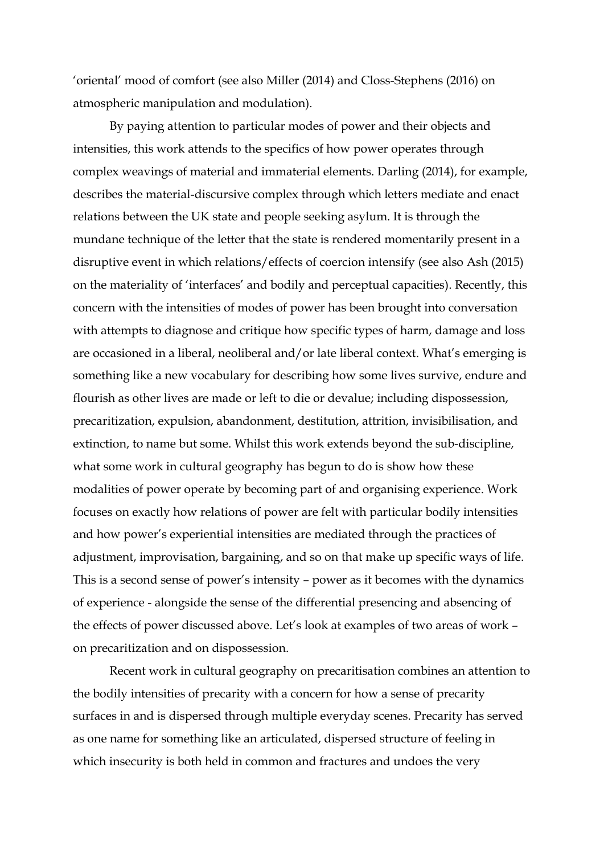'oriental' mood of comfort (see also Miller (2014) and Closs-Stephens (2016) on atmospheric manipulation and modulation).

By paying attention to particular modes of power and their objects and intensities, this work attends to the specifics of how power operates through complex weavings of material and immaterial elements. Darling (2014), for example, describes the material-discursive complex through which letters mediate and enact relations between the UK state and people seeking asylum. It is through the mundane technique of the letter that the state is rendered momentarily present in a disruptive event in which relations/effects of coercion intensify (see also Ash (2015) on the materiality of 'interfaces' and bodily and perceptual capacities). Recently, this concern with the intensities of modes of power has been brought into conversation with attempts to diagnose and critique how specific types of harm, damage and loss are occasioned in a liberal, neoliberal and/or late liberal context. What's emerging is something like a new vocabulary for describing how some lives survive, endure and flourish as other lives are made or left to die or devalue; including dispossession, precaritization, expulsion, abandonment, destitution, attrition, invisibilisation, and extinction, to name but some. Whilst this work extends beyond the sub-discipline, what some work in cultural geography has begun to do is show how these modalities of power operate by becoming part of and organising experience. Work focuses on exactly how relations of power are felt with particular bodily intensities and how power's experiential intensities are mediated through the practices of adjustment, improvisation, bargaining, and so on that make up specific ways of life. This is a second sense of power's intensity – power as it becomes with the dynamics of experience - alongside the sense of the differential presencing and absencing of the effects of power discussed above. Let's look at examples of two areas of work – on precaritization and on dispossession.

Recent work in cultural geography on precaritisation combines an attention to the bodily intensities of precarity with a concern for how a sense of precarity surfaces in and is dispersed through multiple everyday scenes. Precarity has served as one name for something like an articulated, dispersed structure of feeling in which insecurity is both held in common and fractures and undoes the very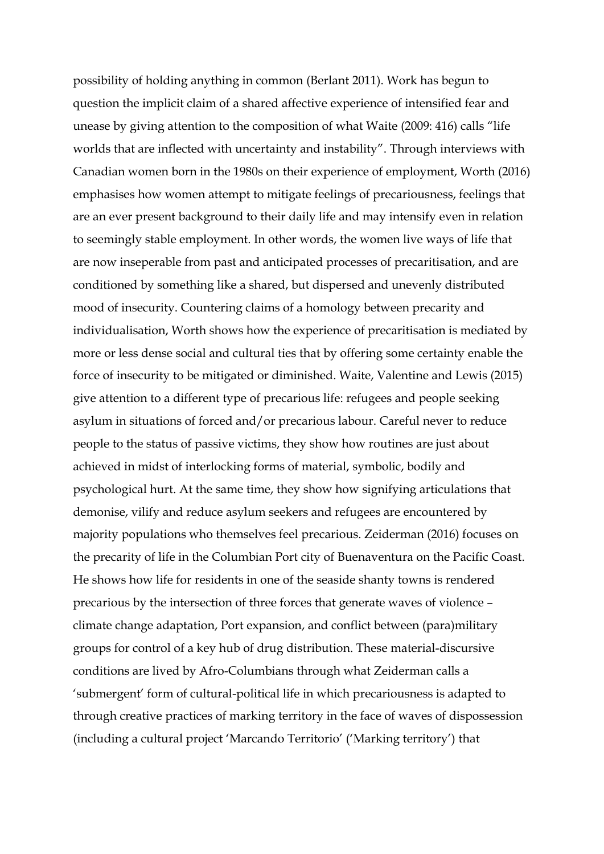possibility of holding anything in common (Berlant 2011). Work has begun to question the implicit claim of a shared affective experience of intensified fear and unease by giving attention to the composition of what Waite (2009: 416) calls "life worlds that are inflected with uncertainty and instability". Through interviews with Canadian women born in the 1980s on their experience of employment, Worth (2016) emphasises how women attempt to mitigate feelings of precariousness, feelings that are an ever present background to their daily life and may intensify even in relation to seemingly stable employment. In other words, the women live ways of life that are now inseperable from past and anticipated processes of precaritisation, and are conditioned by something like a shared, but dispersed and unevenly distributed mood of insecurity. Countering claims of a homology between precarity and individualisation, Worth shows how the experience of precaritisation is mediated by more or less dense social and cultural ties that by offering some certainty enable the force of insecurity to be mitigated or diminished. Waite, Valentine and Lewis (2015) give attention to a different type of precarious life: refugees and people seeking asylum in situations of forced and/or precarious labour. Careful never to reduce people to the status of passive victims, they show how routines are just about achieved in midst of interlocking forms of material, symbolic, bodily and psychological hurt. At the same time, they show how signifying articulations that demonise, vilify and reduce asylum seekers and refugees are encountered by majority populations who themselves feel precarious. Zeiderman (2016) focuses on the precarity of life in the Columbian Port city of Buenaventura on the Pacific Coast. He shows how life for residents in one of the seaside shanty towns is rendered precarious by the intersection of three forces that generate waves of violence – climate change adaptation, Port expansion, and conflict between (para)military groups for control of a key hub of drug distribution. These material-discursive conditions are lived by Afro-Columbians through what Zeiderman calls a 'submergent' form of cultural-political life in which precariousness is adapted to through creative practices of marking territory in the face of waves of dispossession (including a cultural project 'Marcando Territorio' ('Marking territory') that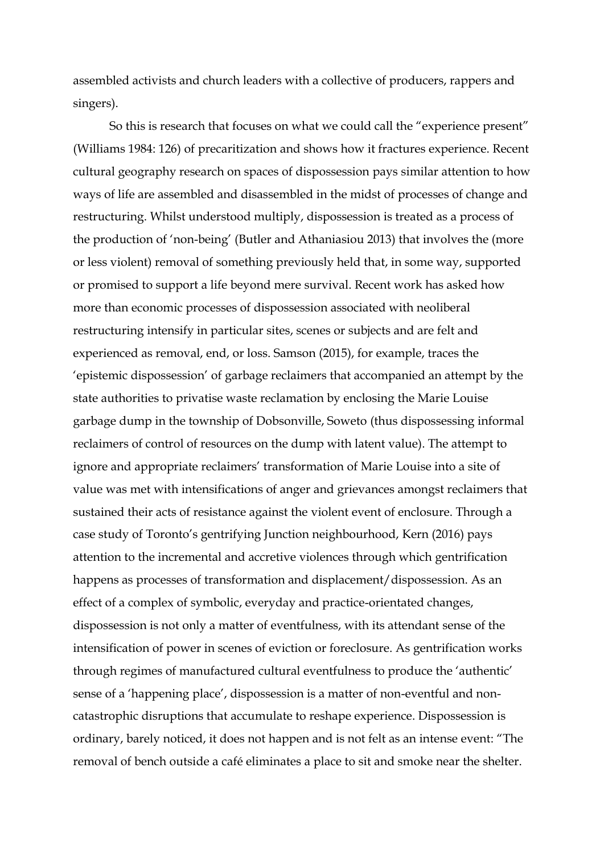assembled activists and church leaders with a collective of producers, rappers and singers).

So this is research that focuses on what we could call the "experience present" (Williams 1984: 126) of precaritization and shows how it fractures experience. Recent cultural geography research on spaces of dispossession pays similar attention to how ways of life are assembled and disassembled in the midst of processes of change and restructuring. Whilst understood multiply, dispossession is treated as a process of the production of 'non-being' (Butler and Athaniasiou 2013) that involves the (more or less violent) removal of something previously held that, in some way, supported or promised to support a life beyond mere survival. Recent work has asked how more than economic processes of dispossession associated with neoliberal restructuring intensify in particular sites, scenes or subjects and are felt and experienced as removal, end, or loss. Samson (2015), for example, traces the 'epistemic dispossession' of garbage reclaimers that accompanied an attempt by the state authorities to privatise waste reclamation by enclosing the Marie Louise garbage dump in the township of Dobsonville, Soweto (thus dispossessing informal reclaimers of control of resources on the dump with latent value). The attempt to ignore and appropriate reclaimers' transformation of Marie Louise into a site of value was met with intensifications of anger and grievances amongst reclaimers that sustained their acts of resistance against the violent event of enclosure. Through a case study of Toronto's gentrifying Junction neighbourhood, Kern (2016) pays attention to the incremental and accretive violences through which gentrification happens as processes of transformation and displacement/dispossession. As an effect of a complex of symbolic, everyday and practice-orientated changes, dispossession is not only a matter of eventfulness, with its attendant sense of the intensification of power in scenes of eviction or foreclosure. As gentrification works through regimes of manufactured cultural eventfulness to produce the 'authentic' sense of a 'happening place', dispossession is a matter of non-eventful and noncatastrophic disruptions that accumulate to reshape experience. Dispossession is ordinary, barely noticed, it does not happen and is not felt as an intense event: "The removal of bench outside a café eliminates a place to sit and smoke near the shelter.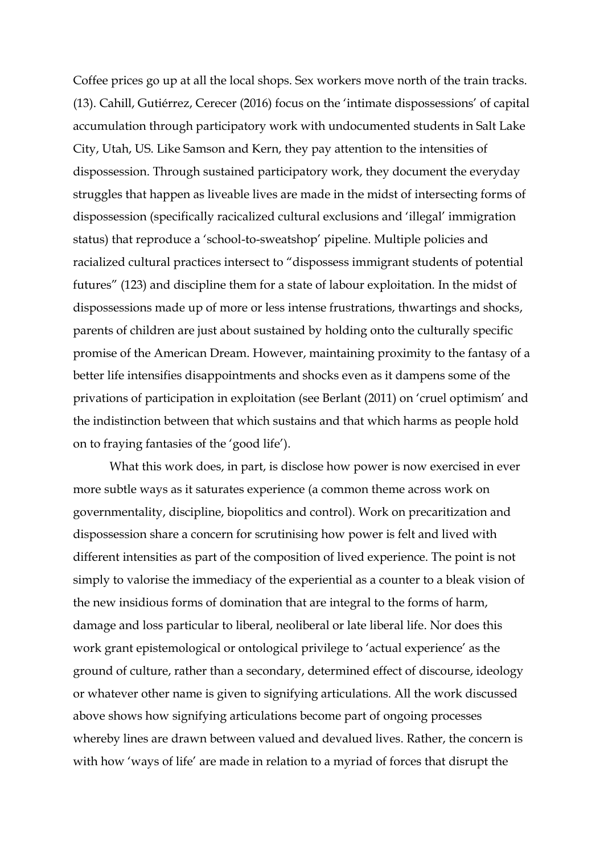Coffee prices go up at all the local shops. Sex workers move north of the train tracks. (13). Cahill, Gutiérrez, Cerecer (2016) focus on the 'intimate dispossessions' of capital accumulation through participatory work with undocumented students in Salt Lake City, Utah, US. Like Samson and Kern, they pay attention to the intensities of dispossession. Through sustained participatory work, they document the everyday struggles that happen as liveable lives are made in the midst of intersecting forms of dispossession (specifically racicalized cultural exclusions and 'illegal' immigration status) that reproduce a 'school-to-sweatshop' pipeline. Multiple policies and racialized cultural practices intersect to "dispossess immigrant students of potential futures" (123) and discipline them for a state of labour exploitation. In the midst of dispossessions made up of more or less intense frustrations, thwartings and shocks, parents of children are just about sustained by holding onto the culturally specific promise of the American Dream. However, maintaining proximity to the fantasy of a better life intensifies disappointments and shocks even as it dampens some of the privations of participation in exploitation (see Berlant (2011) on 'cruel optimism' and the indistinction between that which sustains and that which harms as people hold on to fraying fantasies of the 'good life').

What this work does, in part, is disclose how power is now exercised in ever more subtle ways as it saturates experience (a common theme across work on governmentality, discipline, biopolitics and control). Work on precaritization and dispossession share a concern for scrutinising how power is felt and lived with different intensities as part of the composition of lived experience. The point is not simply to valorise the immediacy of the experiential as a counter to a bleak vision of the new insidious forms of domination that are integral to the forms of harm, damage and loss particular to liberal, neoliberal or late liberal life. Nor does this work grant epistemological or ontological privilege to 'actual experience' as the ground of culture, rather than a secondary, determined effect of discourse, ideology or whatever other name is given to signifying articulations. All the work discussed above shows how signifying articulations become part of ongoing processes whereby lines are drawn between valued and devalued lives. Rather, the concern is with how 'ways of life' are made in relation to a myriad of forces that disrupt the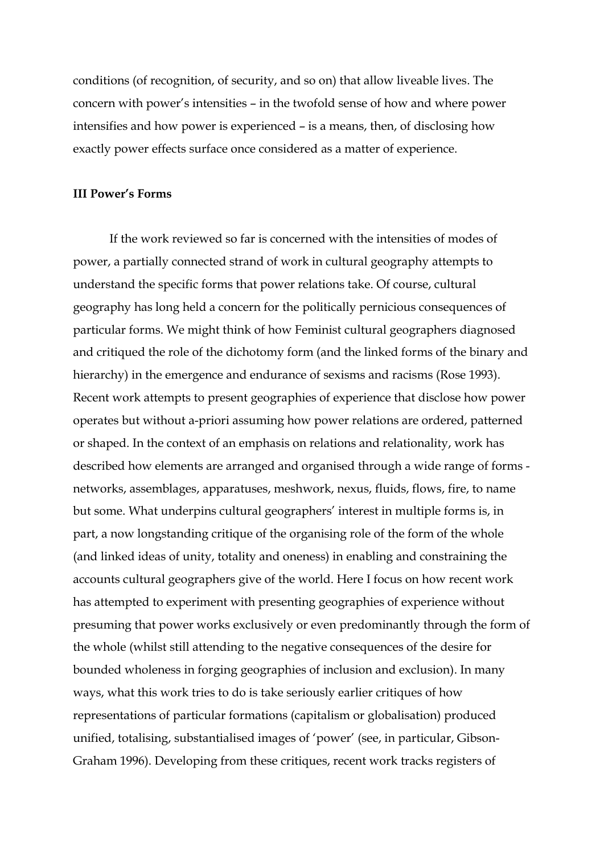conditions (of recognition, of security, and so on) that allow liveable lives. The concern with power's intensities – in the twofold sense of how and where power intensifies and how power is experienced – is a means, then, of disclosing how exactly power effects surface once considered as a matter of experience.

### **III Power's Forms**

If the work reviewed so far is concerned with the intensities of modes of power, a partially connected strand of work in cultural geography attempts to understand the specific forms that power relations take. Of course, cultural geography has long held a concern for the politically pernicious consequences of particular forms. We might think of how Feminist cultural geographers diagnosed and critiqued the role of the dichotomy form (and the linked forms of the binary and hierarchy) in the emergence and endurance of sexisms and racisms (Rose 1993). Recent work attempts to present geographies of experience that disclose how power operates but without a-priori assuming how power relations are ordered, patterned or shaped. In the context of an emphasis on relations and relationality, work has described how elements are arranged and organised through a wide range of forms networks, assemblages, apparatuses, meshwork, nexus, fluids, flows, fire, to name but some. What underpins cultural geographers' interest in multiple forms is, in part, a now longstanding critique of the organising role of the form of the whole (and linked ideas of unity, totality and oneness) in enabling and constraining the accounts cultural geographers give of the world. Here I focus on how recent work has attempted to experiment with presenting geographies of experience without presuming that power works exclusively or even predominantly through the form of the whole (whilst still attending to the negative consequences of the desire for bounded wholeness in forging geographies of inclusion and exclusion). In many ways, what this work tries to do is take seriously earlier critiques of how representations of particular formations (capitalism or globalisation) produced unified, totalising, substantialised images of 'power' (see, in particular, Gibson-Graham 1996). Developing from these critiques, recent work tracks registers of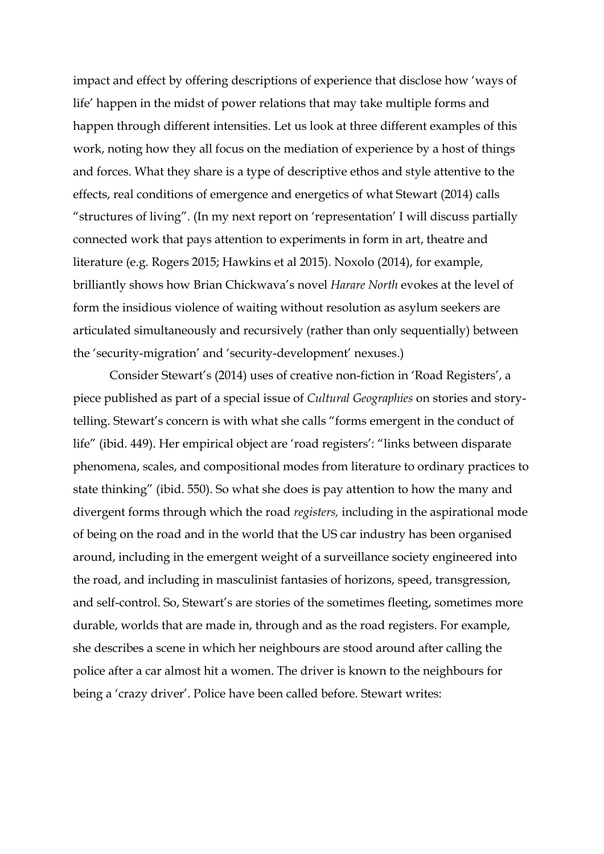impact and effect by offering descriptions of experience that disclose how 'ways of life' happen in the midst of power relations that may take multiple forms and happen through different intensities. Let us look at three different examples of this work, noting how they all focus on the mediation of experience by a host of things and forces. What they share is a type of descriptive ethos and style attentive to the effects, real conditions of emergence and energetics of what Stewart (2014) calls "structures of living". (In my next report on 'representation' I will discuss partially connected work that pays attention to experiments in form in art, theatre and literature (e.g. Rogers 2015; Hawkins et al 2015). Noxolo (2014), for example, brilliantly shows how Brian Chickwava's novel *Harare North* evokes at the level of form the insidious violence of waiting without resolution as asylum seekers are articulated simultaneously and recursively (rather than only sequentially) between the 'security-migration' and 'security-development' nexuses.)

Consider Stewart's (2014) uses of creative non-fiction in 'Road Registers', a piece published as part of a special issue of *Cultural Geographies* on stories and storytelling. Stewart's concern is with what she calls "forms emergent in the conduct of life" (ibid. 449). Her empirical object are 'road registers': "links between disparate phenomena, scales, and compositional modes from literature to ordinary practices to state thinking" (ibid. 550). So what she does is pay attention to how the many and divergent forms through which the road *registers,* including in the aspirational mode of being on the road and in the world that the US car industry has been organised around, including in the emergent weight of a surveillance society engineered into the road, and including in masculinist fantasies of horizons, speed, transgression, and self-control. So, Stewart's are stories of the sometimes fleeting, sometimes more durable, worlds that are made in, through and as the road registers. For example, she describes a scene in which her neighbours are stood around after calling the police after a car almost hit a women. The driver is known to the neighbours for being a 'crazy driver'. Police have been called before. Stewart writes: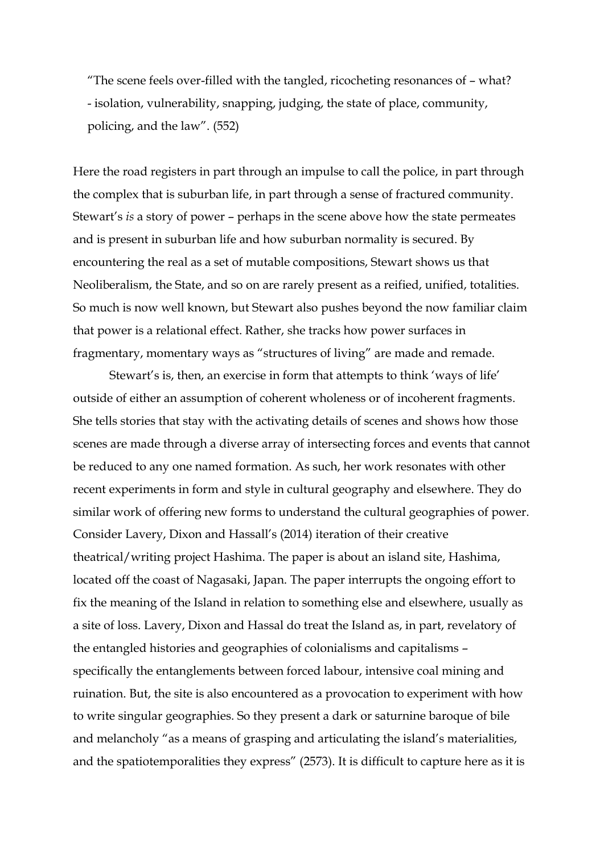"The scene feels over-filled with the tangled, ricocheting resonances of – what? - isolation, vulnerability, snapping, judging, the state of place, community, policing, and the law". (552)

Here the road registers in part through an impulse to call the police, in part through the complex that is suburban life, in part through a sense of fractured community. Stewart's *is* a story of power – perhaps in the scene above how the state permeates and is present in suburban life and how suburban normality is secured. By encountering the real as a set of mutable compositions, Stewart shows us that Neoliberalism, the State, and so on are rarely present as a reified, unified, totalities. So much is now well known, but Stewart also pushes beyond the now familiar claim that power is a relational effect. Rather, she tracks how power surfaces in fragmentary, momentary ways as "structures of living" are made and remade.

Stewart's is, then, an exercise in form that attempts to think 'ways of life' outside of either an assumption of coherent wholeness or of incoherent fragments. She tells stories that stay with the activating details of scenes and shows how those scenes are made through a diverse array of intersecting forces and events that cannot be reduced to any one named formation. As such, her work resonates with other recent experiments in form and style in cultural geography and elsewhere. They do similar work of offering new forms to understand the cultural geographies of power. Consider Lavery, Dixon and Hassall's (2014) iteration of their creative theatrical/writing project Hashima. The paper is about an island site, Hashima, located off the coast of Nagasaki, Japan. The paper interrupts the ongoing effort to fix the meaning of the Island in relation to something else and elsewhere, usually as a site of loss. Lavery, Dixon and Hassal do treat the Island as, in part, revelatory of the entangled histories and geographies of colonialisms and capitalisms – specifically the entanglements between forced labour, intensive coal mining and ruination. But, the site is also encountered as a provocation to experiment with how to write singular geographies. So they present a dark or saturnine baroque of bile and melancholy "as a means of grasping and articulating the island's materialities, and the spatiotemporalities they express" (2573). It is difficult to capture here as it is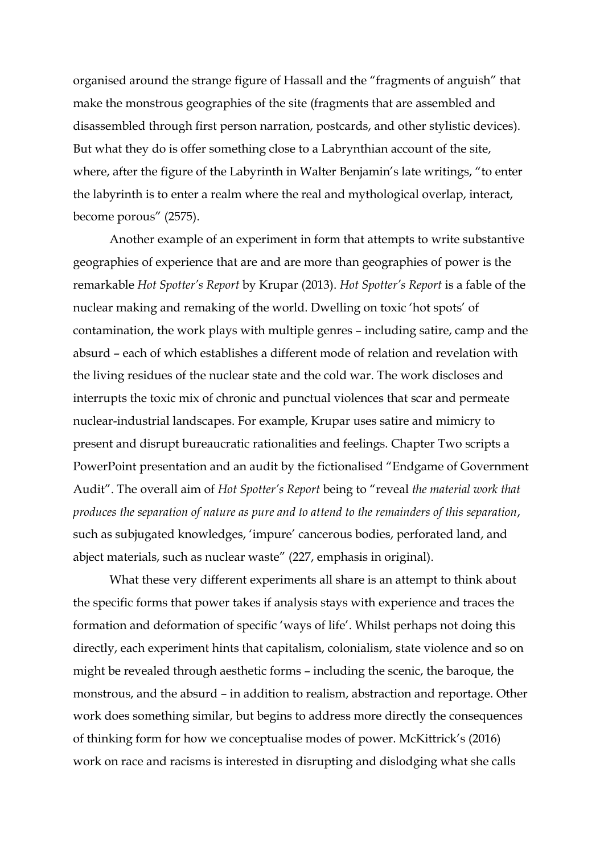organised around the strange figure of Hassall and the "fragments of anguish" that make the monstrous geographies of the site (fragments that are assembled and disassembled through first person narration, postcards, and other stylistic devices). But what they do is offer something close to a Labrynthian account of the site, where, after the figure of the Labyrinth in Walter Benjamin's late writings, "to enter the labyrinth is to enter a realm where the real and mythological overlap, interact, become porous" (2575).

Another example of an experiment in form that attempts to write substantive geographies of experience that are and are more than geographies of power is the remarkable *Hot Spotter's Report* by Krupar (2013). *Hot Spotter's Report* is a fable of the nuclear making and remaking of the world. Dwelling on toxic 'hot spots' of contamination, the work plays with multiple genres – including satire, camp and the absurd – each of which establishes a different mode of relation and revelation with the living residues of the nuclear state and the cold war. The work discloses and interrupts the toxic mix of chronic and punctual violences that scar and permeate nuclear-industrial landscapes. For example, Krupar uses satire and mimicry to present and disrupt bureaucratic rationalities and feelings. Chapter Two scripts a PowerPoint presentation and an audit by the fictionalised "Endgame of Government Audit". The overall aim of *Hot Spotter's Report* being to "reveal *the material work that produces the separation of nature as pure and to attend to the remainders of this separation*, such as subjugated knowledges, 'impure' cancerous bodies, perforated land, and abject materials, such as nuclear waste" (227, emphasis in original).

What these very different experiments all share is an attempt to think about the specific forms that power takes if analysis stays with experience and traces the formation and deformation of specific 'ways of life'. Whilst perhaps not doing this directly, each experiment hints that capitalism, colonialism, state violence and so on might be revealed through aesthetic forms – including the scenic, the baroque, the monstrous, and the absurd – in addition to realism, abstraction and reportage. Other work does something similar, but begins to address more directly the consequences of thinking form for how we conceptualise modes of power. McKittrick's (2016) work on race and racisms is interested in disrupting and dislodging what she calls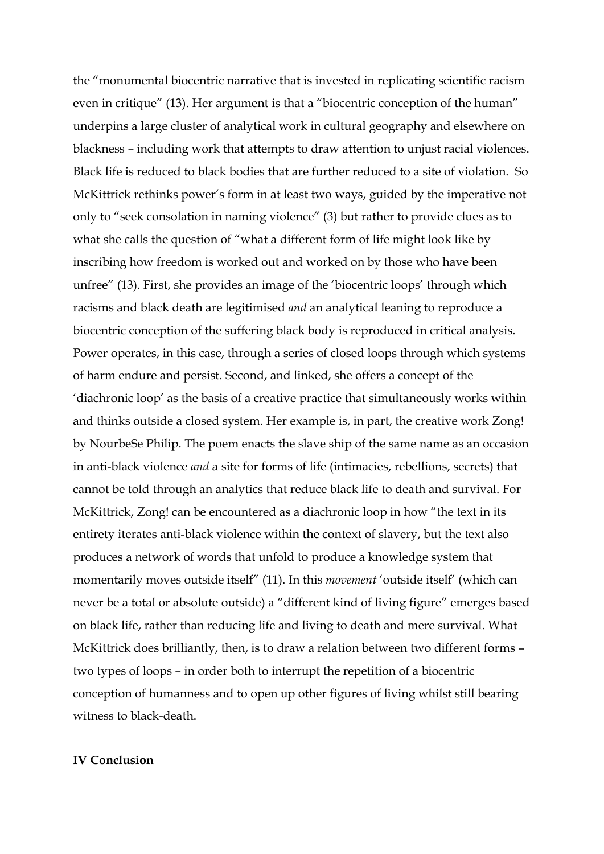the "monumental biocentric narrative that is invested in replicating scientific racism even in critique" (13). Her argument is that a "biocentric conception of the human" underpins a large cluster of analytical work in cultural geography and elsewhere on blackness – including work that attempts to draw attention to unjust racial violences. Black life is reduced to black bodies that are further reduced to a site of violation. So McKittrick rethinks power's form in at least two ways, guided by the imperative not only to "seek consolation in naming violence" (3) but rather to provide clues as to what she calls the question of "what a different form of life might look like by inscribing how freedom is worked out and worked on by those who have been unfree" (13). First, she provides an image of the 'biocentric loops' through which racisms and black death are legitimised *and* an analytical leaning to reproduce a biocentric conception of the suffering black body is reproduced in critical analysis. Power operates, in this case, through a series of closed loops through which systems of harm endure and persist. Second, and linked, she offers a concept of the 'diachronic loop' as the basis of a creative practice that simultaneously works within and thinks outside a closed system. Her example is, in part, the creative work Zong! by NourbeSe Philip. The poem enacts the slave ship of the same name as an occasion in anti-black violence *and* a site for forms of life (intimacies, rebellions, secrets) that cannot be told through an analytics that reduce black life to death and survival. For McKittrick, Zong! can be encountered as a diachronic loop in how "the text in its entirety iterates anti-black violence within the context of slavery, but the text also produces a network of words that unfold to produce a knowledge system that momentarily moves outside itself" (11). In this *movement* 'outside itself' (which can never be a total or absolute outside) a "different kind of living figure" emerges based on black life, rather than reducing life and living to death and mere survival. What McKittrick does brilliantly, then, is to draw a relation between two different forms – two types of loops – in order both to interrupt the repetition of a biocentric conception of humanness and to open up other figures of living whilst still bearing witness to black-death.

# **IV Conclusion**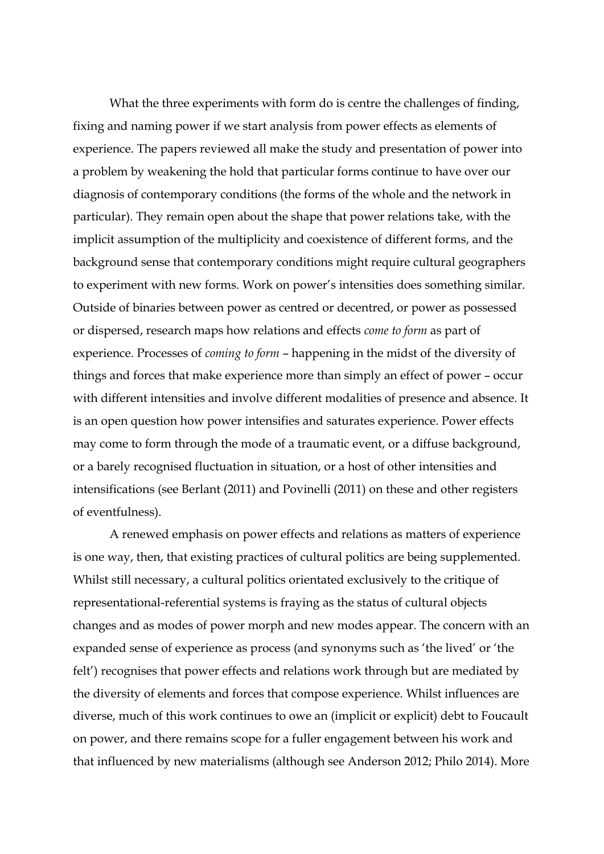What the three experiments with form do is centre the challenges of finding, fixing and naming power if we start analysis from power effects as elements of experience. The papers reviewed all make the study and presentation of power into a problem by weakening the hold that particular forms continue to have over our diagnosis of contemporary conditions (the forms of the whole and the network in particular). They remain open about the shape that power relations take, with the implicit assumption of the multiplicity and coexistence of different forms, and the background sense that contemporary conditions might require cultural geographers to experiment with new forms. Work on power's intensities does something similar. Outside of binaries between power as centred or decentred, or power as possessed or dispersed, research maps how relations and effects *come to form* as part of experience. Processes of *coming to form* – happening in the midst of the diversity of things and forces that make experience more than simply an effect of power – occur with different intensities and involve different modalities of presence and absence. It is an open question how power intensifies and saturates experience. Power effects may come to form through the mode of a traumatic event, or a diffuse background, or a barely recognised fluctuation in situation, or a host of other intensities and intensifications (see Berlant (2011) and Povinelli (2011) on these and other registers of eventfulness).

A renewed emphasis on power effects and relations as matters of experience is one way, then, that existing practices of cultural politics are being supplemented. Whilst still necessary, a cultural politics orientated exclusively to the critique of representational-referential systems is fraying as the status of cultural objects changes and as modes of power morph and new modes appear. The concern with an expanded sense of experience as process (and synonyms such as 'the lived' or 'the felt') recognises that power effects and relations work through but are mediated by the diversity of elements and forces that compose experience. Whilst influences are diverse, much of this work continues to owe an (implicit or explicit) debt to Foucault on power, and there remains scope for a fuller engagement between his work and that influenced by new materialisms (although see Anderson 2012; Philo 2014). More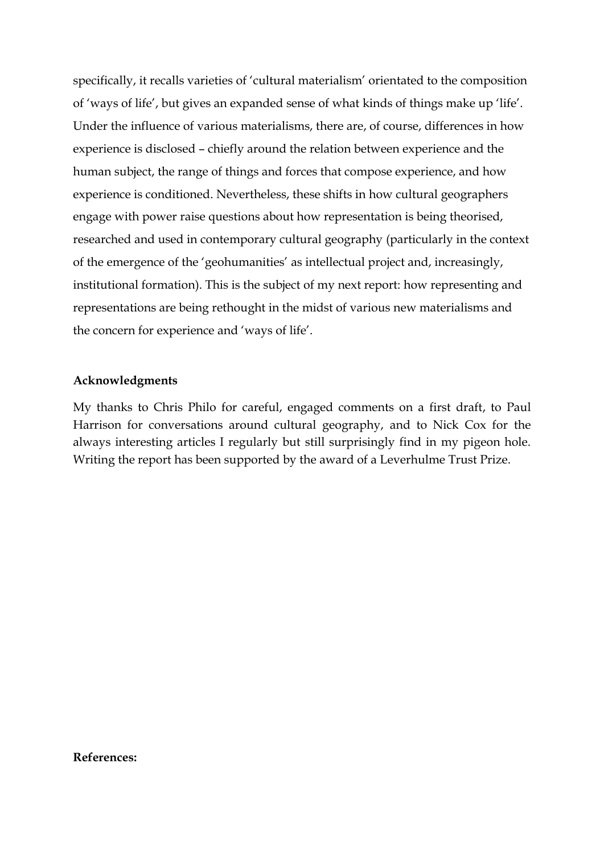specifically, it recalls varieties of 'cultural materialism' orientated to the composition of 'ways of life', but gives an expanded sense of what kinds of things make up 'life'. Under the influence of various materialisms, there are, of course, differences in how experience is disclosed – chiefly around the relation between experience and the human subject, the range of things and forces that compose experience, and how experience is conditioned. Nevertheless, these shifts in how cultural geographers engage with power raise questions about how representation is being theorised, researched and used in contemporary cultural geography (particularly in the context of the emergence of the 'geohumanities' as intellectual project and, increasingly, institutional formation). This is the subject of my next report: how representing and representations are being rethought in the midst of various new materialisms and the concern for experience and 'ways of life'.

#### **Acknowledgments**

My thanks to Chris Philo for careful, engaged comments on a first draft, to Paul Harrison for conversations around cultural geography, and to Nick Cox for the always interesting articles I regularly but still surprisingly find in my pigeon hole. Writing the report has been supported by the award of a Leverhulme Trust Prize.

**References:**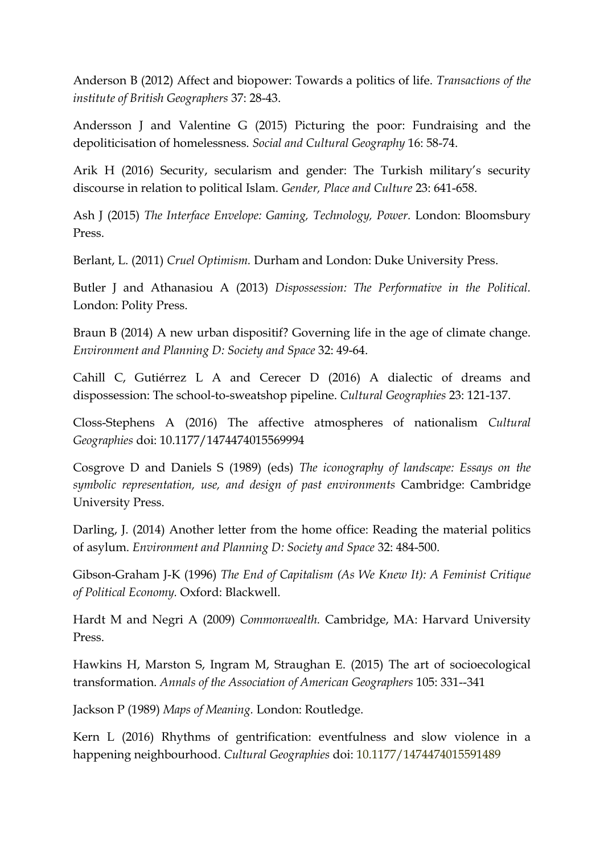Anderson B (2012) Affect and biopower: Towards a politics of life. *Transactions of the institute of British Geographers* 37: 28-43.

Andersson J and Valentine G (2015) Picturing the poor: Fundraising and the depoliticisation of homelessness. *Social and Cultural Geography* 16: 58-74.

Arik H (2016) Security, secularism and gender: The Turkish military's security discourse in relation to political Islam. *Gender, Place and Culture* 23: 641-658.

Ash J (2015) *The Interface Envelope: Gaming, Technology, Power.* London: Bloomsbury Press.

Berlant, L. (2011) *Cruel Optimism.* Durham and London: Duke University Press.

Butler J and Athanasiou A (2013) *Dispossession: The Performative in the Political.* London: Polity Press.

Braun B (2014) A new urban dispositif? Governing life in the age of climate change. *Environment and Planning D: Society and Space* 32: 49-64.

Cahill C, Gutiérrez L A and Cerecer D (2016) A dialectic of dreams and dispossession: The school-to-sweatshop pipeline. *Cultural Geographies* 23: 121-137.

Closs-Stephens A (2016) The affective atmospheres of nationalism *Cultural Geographies* doi: 10.1177/1474474015569994

Cosgrove D and Daniels S (1989) (eds) *The iconography of landscape: Essays on the symbolic representation, use, and design of past environments* Cambridge: Cambridge University Press.

Darling, J. (2014) Another letter from the home office: Reading the material politics of asylum. *Environment and Planning D: Society and Space* 32: 484-500.

Gibson-Graham J-K (1996) *The End of Capitalism (As We Knew It): A Feminist Critique of Political Economy.* Oxford: Blackwell.

Hardt M and Negri A (2009) *Commonwealth.* Cambridge, MA: Harvard University Press.

Hawkins H, Marston S, Ingram M, Straughan E. (2015) The art of socioecological transformation. *Annals of the Association of American Geographers* 105: 331--341

Jackson P (1989) *Maps of Meaning.* London: Routledge.

Kern L (2016) Rhythms of gentrification: eventfulness and slow violence in a happening neighbourhood. *Cultural Geographies* doi: 10.1177/1474474015591489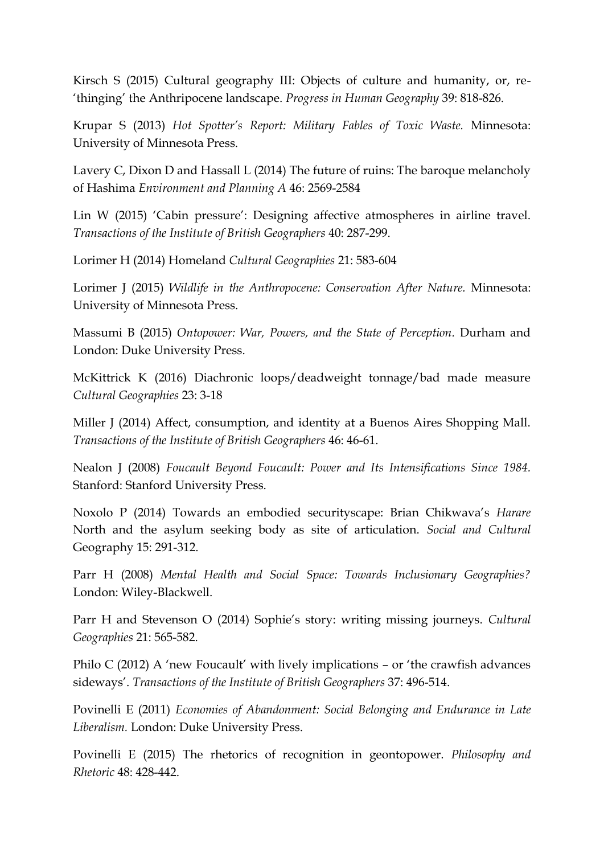Kirsch S (2015) Cultural geography III: Objects of culture and humanity, or, re- 'thinging' the Anthripocene landscape. *Progress in Human Geography* 39: 818-826.

Krupar S (2013) *Hot Spotter's Report: Military Fables of Toxic Waste.* Minnesota: University of Minnesota Press.

Lavery C, Dixon D and Hassall L (2014) The future of ruins: The baroque melancholy of Hashima *Environment and Planning A* 46: 2569-2584

Lin W (2015) 'Cabin pressure': Designing affective atmospheres in airline travel. *Transactions of the Institute of British Geographers* 40: 287-299.

Lorimer H (2014) Homeland *Cultural Geographies* 21: 583-604

Lorimer J (2015) *Wildlife in the Anthropocene: Conservation After Nature.* Minnesota: University of Minnesota Press.

Massumi B (2015) *Ontopower: War, Powers, and the State of Perception.* Durham and London: Duke University Press.

McKittrick K (2016) Diachronic loops/deadweight tonnage/bad made measure *Cultural Geographies* 23: 3-18

Miller J (2014) Affect, consumption, and identity at a Buenos Aires Shopping Mall. *Transactions of the Institute of British Geographers* 46: 46-61.

Nealon J (2008) *Foucault Beyond Foucault: Power and Its Intensifications Since 1984.* Stanford: Stanford University Press.

Noxolo P (2014) Towards an embodied securityscape: Brian Chikwava's *Harare*  North and the asylum seeking body as site of articulation. *Social and Cultural*  Geography 15: 291-312.

Parr H (2008) *Mental Health and Social Space: Towards Inclusionary Geographies?* London: Wiley-Blackwell.

Parr H and Stevenson O (2014) Sophie's story: writing missing journeys. *Cultural Geographies* 21: 565-582.

Philo C (2012) A 'new Foucault' with lively implications – or 'the crawfish advances sideways'. *Transactions of the Institute of British Geographers* 37: 496-514.

Povinelli E (2011) *Economies of Abandonment: Social Belonging and Endurance in Late Liberalism.* London: Duke University Press.

Povinelli E (2015) The rhetorics of recognition in geontopower. *Philosophy and Rhetoric* 48: 428-442.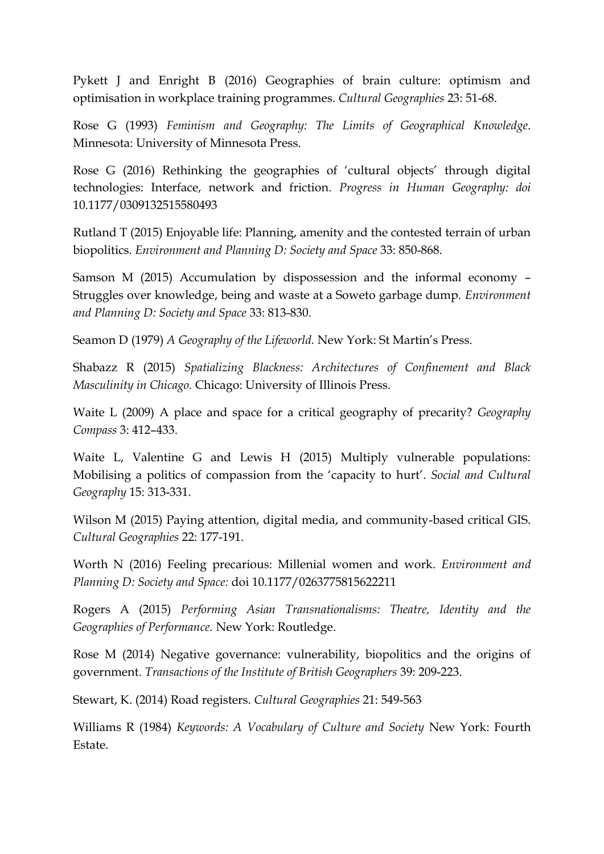Pykett J and Enright B (2016) Geographies of brain culture: optimism and optimisation in workplace training programmes. *Cultural Geographies* 23: 51-68.

Rose G (1993) *Feminism and Geography: The Limits of Geographical Knowledge*. Minnesota: University of Minnesota Press.

Rose G (2016) Rethinking the geographies of 'cultural objects' through digital technologies: Interface, network and friction. *Progress in Human Geography: doi*  10.1177/0309132515580493

Rutland T (2015) Enjoyable life: Planning, amenity and the contested terrain of urban biopolitics. *Environment and Planning D: Society and Space* 33: 850-868.

Samson M (2015) Accumulation by dispossession and the informal economy – Struggles over knowledge, being and waste at a Soweto garbage dump. *Environment and Planning D: Society and Space* 33: 813-830.

Seamon D (1979) *A Geography of the Lifeworld.* New York: St Martin's Press.

Shabazz R (2015) *Spatializing Blackness: Architectures of Confinement and Black Masculinity in Chicago.* Chicago: University of Illinois Press.

Waite L (2009) A place and space for a critical geography of precarity? *Geography Compass* 3: 412–433.

Waite L, Valentine G and Lewis H (2015) Multiply vulnerable populations: Mobilising a politics of compassion from the 'capacity to hurt'. *Social and Cultural Geography* 15: 313-331.

Wilson M (2015) Paying attention, digital media, and community-based critical GIS. *Cultural Geographies* 22: 177-191.

Worth N (2016) Feeling precarious: Millenial women and work. *Environment and Planning D: Society and Space:* doi 10.1177/0263775815622211

Rogers A (2015) *Performing Asian Transnationalisms: Theatre, Identity and the Geographies of Performance.* New York: Routledge.

Rose M (2014) Negative governance: vulnerability, biopolitics and the origins of government. *Transactions of the Institute of British Geographers* 39: 209-223.

Stewart, K. (2014) Road registers. *Cultural Geographies* 21: 549-563

Williams R (1984) *Keywords: A Vocabulary of Culture and Society* New York: Fourth Estate.